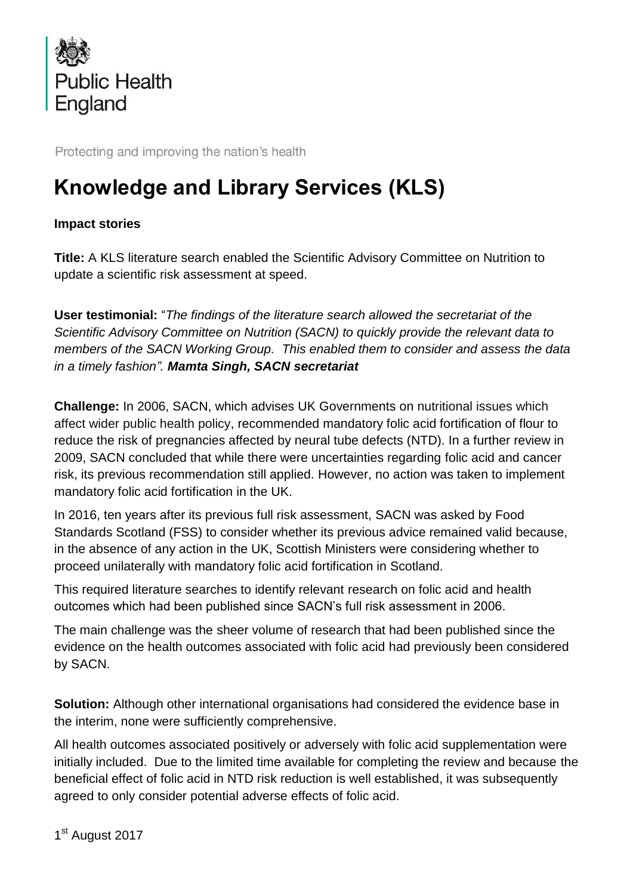

Protecting and improving the nation's health

## **Knowledge and Library Services (KLS)**

**Impact stories**

**Title:** A KLS literature search enabled the Scientific Advisory Committee on Nutrition to update a scientific risk assessment at speed.

**User testimonial:** "*The findings of the literature search allowed the secretariat of the Scientific Advisory Committee on Nutrition (SACN) to quickly provide the relevant data to members of the SACN Working Group. This enabled them to consider and assess the data in a timely fashion". Mamta Singh, SACN secretariat*

**Challenge:** In 2006, SACN, which advises UK Governments on nutritional issues which affect wider public health policy, recommended mandatory folic acid fortification of flour to reduce the risk of pregnancies affected by neural tube defects (NTD). In a further review in 2009, SACN concluded that while there were uncertainties regarding folic acid and cancer risk, its previous recommendation still applied. However, no action was taken to implement mandatory folic acid fortification in the UK.

In 2016, ten years after its previous full risk assessment, SACN was asked by Food Standards Scotland (FSS) to consider whether its previous advice remained valid because, in the absence of any action in the UK, Scottish Ministers were considering whether to proceed unilaterally with mandatory folic acid fortification in Scotland.

This required literature searches to identify relevant research on folic acid and health outcomes which had been published since SACN's full risk assessment in 2006.

The main challenge was the sheer volume of research that had been published since the evidence on the health outcomes associated with folic acid had previously been considered by SACN.

**Solution:** Although other international organisations had considered the evidence base in the interim, none were sufficiently comprehensive.

All health outcomes associated positively or adversely with folic acid supplementation were initially included. Due to the limited time available for completing the review and because the beneficial effect of folic acid in NTD risk reduction is well established, it was subsequently agreed to only consider potential adverse effects of folic acid.